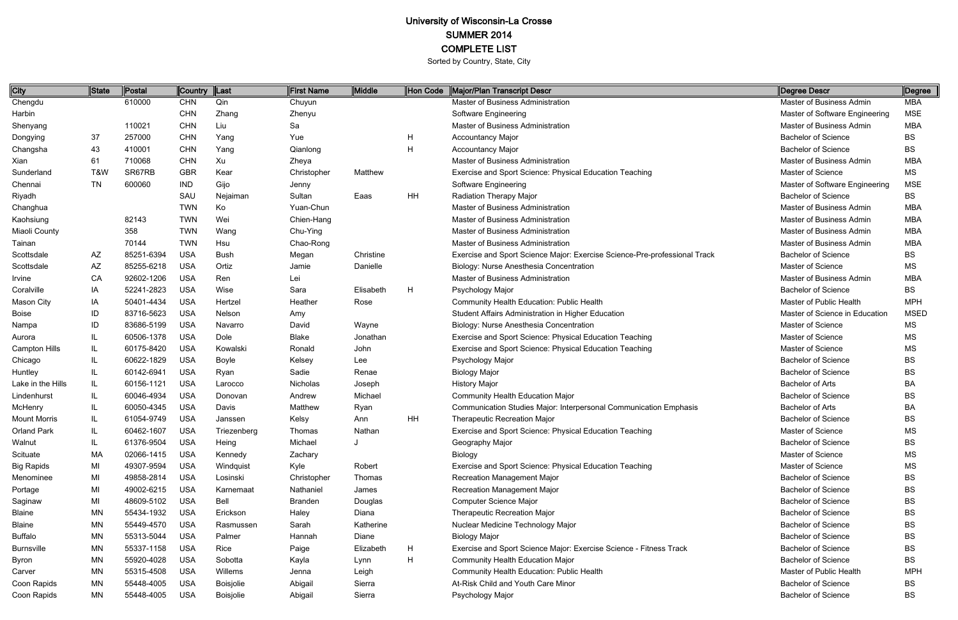| City                 | <b>State</b> | Postal     | Country Last |             | <b>First Name</b> | Middle    | Hon Code | Major/Plan Transcript Descr                                               | ∥Degree Descr                  | Degree      |
|----------------------|--------------|------------|--------------|-------------|-------------------|-----------|----------|---------------------------------------------------------------------------|--------------------------------|-------------|
| Chengdu              |              | 610000     | <b>CHN</b>   | Qin         | Chuyun            |           |          | Master of Business Administration                                         | Master of Business Admin       | MBA         |
| Harbin               |              |            | <b>CHN</b>   | Zhang       | Zhenyu            |           |          | Software Engineering                                                      | Master of Software Engineering | <b>MSE</b>  |
| Shenyang             |              | 110021     | <b>CHN</b>   | Liu         | Sa                |           |          | Master of Business Administration                                         | Master of Business Admin       | <b>MBA</b>  |
| Dongying             | 37           | 257000     | <b>CHN</b>   | Yang        | Yue               |           | H        | <b>Accountancy Major</b>                                                  | <b>Bachelor of Science</b>     | <b>BS</b>   |
| Changsha             | 43           | 410001     | <b>CHN</b>   | Yang        | Qianlong          |           | H        | <b>Accountancy Major</b>                                                  | <b>Bachelor of Science</b>     | <b>BS</b>   |
| Xian                 | 61           | 710068     | <b>CHN</b>   | Xu          | Zheya             |           |          | Master of Business Administration                                         | Master of Business Admin       | <b>MBA</b>  |
| Sunderland           | T&W          | SR67RB     | <b>GBR</b>   | Kear        | Christopher       | Matthew   |          | Exercise and Sport Science: Physical Education Teaching                   | Master of Science              | MS          |
| Chennai              | <b>TN</b>    | 600060     | <b>IND</b>   | Gijo        | Jenny             |           |          | Software Engineering                                                      | Master of Software Engineering | <b>MSE</b>  |
| Riyadh               |              |            | SAU          | Nejaiman    | Sultan            | Eaas      | HH       | Radiation Therapy Major                                                   | <b>Bachelor of Science</b>     | <b>BS</b>   |
| Changhua             |              |            | <b>TWN</b>   | Ko          | Yuan-Chun         |           |          | Master of Business Administration                                         | Master of Business Admin       | <b>MBA</b>  |
| Kaohsiung            |              | 82143      | <b>TWN</b>   | Wei         | Chien-Hang        |           |          | Master of Business Administration                                         | Master of Business Admin       | MBA         |
| Miaoli County        |              | 358        | <b>TWN</b>   | Wang        | Chu-Ying          |           |          | Master of Business Administration                                         | Master of Business Admin       | <b>MBA</b>  |
| Tainan               |              | 70144      | <b>TWN</b>   | Hsu         | Chao-Rong         |           |          | Master of Business Administration                                         | Master of Business Admin       | MBA         |
| Scottsdale           | AZ           | 85251-6394 | <b>USA</b>   | <b>Bush</b> | Megan             | Christine |          | Exercise and Sport Science Major: Exercise Science-Pre-professional Track | <b>Bachelor of Science</b>     | BS          |
| Scottsdale           | ΑZ           | 85255-6218 | <b>USA</b>   | Ortiz       | Jamie             | Danielle  |          | Biology: Nurse Anesthesia Concentration                                   | Master of Science              | <b>MS</b>   |
| Irvine               | CA           | 92602-1206 | <b>USA</b>   | Ren         | Lei               |           |          | Master of Business Administration                                         | Master of Business Admin       | <b>MBA</b>  |
| Coralville           | IA           | 52241-2823 | <b>USA</b>   | Wise        | Sara              | Elisabeth | H        | Psychology Major                                                          | <b>Bachelor of Science</b>     | <b>BS</b>   |
| <b>Mason City</b>    | IA           | 50401-4434 | <b>USA</b>   | Hertzel     | Heather           | Rose      |          | Community Health Education: Public Health                                 | Master of Public Health        | <b>MPH</b>  |
| <b>Boise</b>         | ID           | 83716-5623 | <b>USA</b>   | Nelson      | Amy               |           |          | Student Affairs Administration in Higher Education                        | Master of Science in Education | <b>MSED</b> |
| Nampa                | ID           | 83686-5199 | <b>USA</b>   | Navarro     | David             | Wayne     |          | Biology: Nurse Anesthesia Concentration                                   | Master of Science              | MS          |
| Aurora               | IL           | 60506-1378 | <b>USA</b>   | Dole        | <b>Blake</b>      | Jonathan  |          | Exercise and Sport Science: Physical Education Teaching                   | <b>Master of Science</b>       | MS          |
| <b>Campton Hills</b> | IL           | 60175-8420 | <b>USA</b>   | Kowalski    | Ronald            | John      |          | Exercise and Sport Science: Physical Education Teaching                   | <b>Master of Science</b>       | MS          |
| Chicago              | IL           | 60622-1829 | <b>USA</b>   | Boyle       | Kelsey            | Lee       |          | Psychology Major                                                          | <b>Bachelor of Science</b>     | <b>BS</b>   |
| Huntley              | L            | 60142-6941 | <b>USA</b>   | Ryan        | Sadie             | Renae     |          | <b>Biology Major</b>                                                      | <b>Bachelor of Science</b>     | <b>BS</b>   |
| Lake in the Hills    | IL           | 60156-1121 | <b>USA</b>   | Larocco     | Nicholas          | Joseph    |          | <b>History Major</b>                                                      | <b>Bachelor of Arts</b>        | BA          |
| Lindenhurst          | IL           | 60046-4934 | <b>USA</b>   | Donovan     | Andrew            | Michael   |          | <b>Community Health Education Major</b>                                   | <b>Bachelor of Science</b>     | <b>BS</b>   |
| McHenry              | IL           | 60050-4345 | <b>USA</b>   | Davis       | Matthew           | Ryan      |          | Communication Studies Major: Interpersonal Communication Emphasis         | <b>Bachelor of Arts</b>        | BA          |
| <b>Mount Morris</b>  | IL           | 61054-9749 | <b>USA</b>   | Janssen     | Kelsy             | Ann       | HH       | <b>Therapeutic Recreation Major</b>                                       | <b>Bachelor of Science</b>     | <b>BS</b>   |
| <b>Orland Park</b>   |              | 60462-1607 | <b>USA</b>   | Triezenberg | Thomas            | Nathan    |          | Exercise and Sport Science: Physical Education Teaching                   | Master of Science              | <b>MS</b>   |
| Walnut               | IL           | 61376-9504 | <b>USA</b>   | Heing       | Michael           | J         |          | Geography Major                                                           | <b>Bachelor of Science</b>     | <b>BS</b>   |
| Scituate             | MA           | 02066-1415 | <b>USA</b>   | Kennedy     | Zachary           |           |          | Biology                                                                   | <b>Master of Science</b>       | MS          |
| <b>Big Rapids</b>    | MI           | 49307-9594 | <b>USA</b>   | Windquist   | Kyle              | Robert    |          | Exercise and Sport Science: Physical Education Teaching                   | Master of Science              | MS          |
| Menominee            | MI           | 49858-2814 | <b>USA</b>   | Losinski    | Christopher       | Thomas    |          | <b>Recreation Management Major</b>                                        | <b>Bachelor of Science</b>     | <b>BS</b>   |
| Portage              | MI           | 49002-6215 | <b>USA</b>   | Karnemaat   | Nathaniel         | James     |          | <b>Recreation Management Major</b>                                        | <b>Bachelor of Science</b>     | BS          |
| Saginaw              | MI           | 48609-5102 | <b>USA</b>   | Bell        | Branden           | Douglas   |          | <b>Computer Science Major</b>                                             | <b>Bachelor of Science</b>     | BS          |
| Blaine               | <b>MN</b>    | 55434-1932 | <b>USA</b>   | Erickson    | Haley             | Diana     |          | <b>Therapeutic Recreation Major</b>                                       | <b>Bachelor of Science</b>     | <b>BS</b>   |
| Blaine               | MN           | 55449-4570 | <b>USA</b>   | Rasmussen   | Sarah             | Katherine |          | Nuclear Medicine Technology Major                                         | <b>Bachelor of Science</b>     | <b>BS</b>   |
| <b>Buffalo</b>       | <b>MN</b>    | 55313-5044 | <b>USA</b>   | Palmer      | Hannah            | Diane     |          | <b>Biology Major</b>                                                      | <b>Bachelor of Science</b>     | <b>BS</b>   |
| <b>Burnsville</b>    | <b>MN</b>    | 55337-1158 | <b>USA</b>   | Rice        | Paige             | Elizabeth | H        | Exercise and Sport Science Major: Exercise Science - Fitness Track        | <b>Bachelor of Science</b>     | <b>BS</b>   |
| <b>Byron</b>         | <b>MN</b>    | 55920-4028 | <b>USA</b>   | Sobotta     | Kayla             | Lynn      | H        | Community Health Education Major                                          | <b>Bachelor of Science</b>     | <b>BS</b>   |
| Carver               | MN           | 55315-4508 | <b>USA</b>   | Willems     | Jenna             | Leigh     |          | <b>Community Health Education: Public Health</b>                          | Master of Public Health        | <b>MPH</b>  |
| Coon Rapids          | MN           | 55448-4005 | <b>USA</b>   | Boisjolie   | Abigail           | Sierra    |          | At-Risk Child and Youth Care Minor                                        | <b>Bachelor of Science</b>     | BS          |
| Coon Rapids          | MN           | 55448-4005 | <b>USA</b>   | Boisjolie   | Abigail           | Sierra    |          | Psychology Major                                                          | <b>Bachelor of Science</b>     | BS          |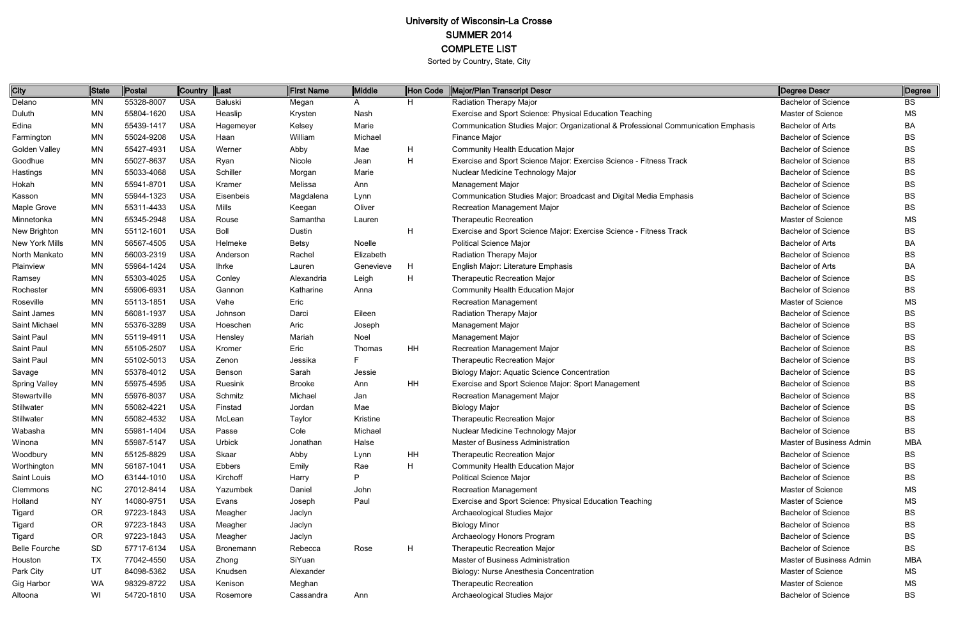| City                  | <b>State</b> | Postal     | <b>Country</b> | Last          | First Name    | Middle    | Hon Code | Major/Plan Transcript Descr                                                       | Degree Descr               | Degree     |
|-----------------------|--------------|------------|----------------|---------------|---------------|-----------|----------|-----------------------------------------------------------------------------------|----------------------------|------------|
| Delano                | MN           | 55328-8007 | <b>USA</b>     | Baluski       | Megan         | A         | H.       | Radiation Therapy Major                                                           | <b>Bachelor of Science</b> | BS         |
| Duluth                | MN           | 55804-1620 | <b>USA</b>     | Heaslip       | Krysten       | Nash      |          | Exercise and Sport Science: Physical Education Teaching                           | Master of Science          | <b>MS</b>  |
| Edina                 | MN           | 55439-1417 | <b>USA</b>     | Hagemeyer     | Kelsey        | Marie     |          | Communication Studies Major: Organizational & Professional Communication Emphasis | <b>Bachelor of Arts</b>    | BA         |
| Farmington            | MN           | 55024-9208 | <b>USA</b>     | Haan          | William       | Michael   |          | Finance Major                                                                     | <b>Bachelor of Science</b> | BS         |
| Golden Valley         | MN           | 55427-4931 | <b>USA</b>     | Werner        | Abby          | Mae       | H        | <b>Community Health Education Major</b>                                           | <b>Bachelor of Science</b> | BS         |
| Goodhue               | MN           | 55027-8637 | <b>USA</b>     | Ryan          | Nicole        | Jean      | H        | Exercise and Sport Science Major: Exercise Science - Fitness Track                | <b>Bachelor of Science</b> | BS         |
| Hastings              | MN           | 55033-4068 | <b>USA</b>     | Schiller      | Morgan        | Marie     |          | Nuclear Medicine Technology Major                                                 | <b>Bachelor of Science</b> | BS         |
| Hokah                 | MN           | 55941-8701 | <b>USA</b>     | Kramer        | Melissa       | Ann       |          | Management Major                                                                  | <b>Bachelor of Science</b> | BS         |
| Kasson                | MN           | 55944-1323 | <b>USA</b>     | Eisenbeis     | Magdalena     | Lynn      |          | Communication Studies Major: Broadcast and Digital Media Emphasis                 | <b>Bachelor of Science</b> | BS         |
| Maple Grove           | MN           | 55311-4433 | <b>USA</b>     | <b>Mills</b>  | Keegan        | Oliver    |          | <b>Recreation Management Major</b>                                                | <b>Bachelor of Science</b> | BS         |
| Minnetonka            | MN           | 55345-2948 | <b>USA</b>     | Rouse         | Samantha      | Lauren    |          | <b>Therapeutic Recreation</b>                                                     | Master of Science          | MS         |
| New Brighton          | ΜN           | 55112-1601 | <b>USA</b>     | Boll          | Dustin        |           | H        | Exercise and Sport Science Major: Exercise Science - Fitness Track                | <b>Bachelor of Science</b> | BS         |
| <b>New York Mills</b> | MN           | 56567-4505 | <b>USA</b>     | Helmeke       | <b>Betsy</b>  | Noelle    |          | <b>Political Science Major</b>                                                    | <b>Bachelor of Arts</b>    | ΒA         |
| North Mankato         | MN           | 56003-2319 | <b>USA</b>     | Anderson      | Rachel        | Elizabeth |          | <b>Radiation Therapy Major</b>                                                    | <b>Bachelor of Science</b> | BS         |
| Plainview             | MN           | 55964-1424 | <b>USA</b>     | <b>Ihrke</b>  | Lauren        | Genevieve | H        | English Major: Literature Emphasis                                                | <b>Bachelor of Arts</b>    | ΒA         |
| Ramsey                | MN           | 55303-4025 | <b>USA</b>     | Conley        | Alexandria    | Leigh     | H        | <b>Therapeutic Recreation Major</b>                                               | <b>Bachelor of Science</b> | BS         |
| Rochester             | MN           | 55906-6931 | <b>USA</b>     | Gannon        | Katharine     | Anna      |          | <b>Community Health Education Major</b>                                           | <b>Bachelor of Science</b> | BS         |
| Roseville             | MN           | 55113-1851 | <b>USA</b>     | Vehe          | Eric          |           |          | <b>Recreation Management</b>                                                      | Master of Science          | MS         |
| Saint James           | MN           | 56081-1937 | <b>USA</b>     | Johnson       | Darci         | Eileen    |          | <b>Radiation Therapy Major</b>                                                    | <b>Bachelor of Science</b> | BS         |
| Saint Michael         | MN           | 55376-3289 | <b>USA</b>     | Hoeschen      | Aric          | Joseph    |          | Management Major                                                                  | <b>Bachelor of Science</b> | BS         |
| Saint Paul            | MN           | 55119-4911 | <b>USA</b>     | Hensley       | Mariah        | Noel      |          | <b>Management Major</b>                                                           | <b>Bachelor of Science</b> | BS         |
| Saint Paul            | MN           | 55105-2507 | <b>USA</b>     | Kromer        | Eric          | Thomas    | HH       | <b>Recreation Management Major</b>                                                | <b>Bachelor of Science</b> | BS         |
| Saint Paul            | MN           | 55102-5013 | <b>USA</b>     | Zenon         | Jessika       |           |          | <b>Therapeutic Recreation Major</b>                                               | <b>Bachelor of Science</b> | BS         |
| Savage                | MN           | 55378-4012 | <b>USA</b>     | Benson        | Sarah         | Jessie    |          | <b>Biology Major: Aquatic Science Concentration</b>                               | <b>Bachelor of Science</b> | BS         |
| <b>Spring Valley</b>  | MN           | 55975-4595 | <b>USA</b>     | Ruesink       | <b>Brooke</b> | Ann       | HH       | Exercise and Sport Science Major: Sport Management                                | <b>Bachelor of Science</b> | BS         |
| Stewartville          | MN           | 55976-8037 | <b>USA</b>     | Schmitz       | Michael       | Jan       |          | <b>Recreation Management Major</b>                                                | <b>Bachelor of Science</b> | BS         |
| Stillwater            | MN           | 55082-4221 | <b>USA</b>     | Finstad       | Jordan        | Mae       |          | <b>Biology Major</b>                                                              | <b>Bachelor of Science</b> | BS         |
| Stillwater            | MN           | 55082-4532 | <b>USA</b>     | McLean        | Taylor        | Kristine  |          | <b>Therapeutic Recreation Major</b>                                               | <b>Bachelor of Science</b> | BS         |
| Wabasha               | MN           | 55981-1404 | <b>USA</b>     | Passe         | Cole          | Michael   |          | Nuclear Medicine Technology Major                                                 | <b>Bachelor of Science</b> | BS         |
| Winona                | <b>MN</b>    | 55987-5147 | <b>USA</b>     | <b>Urbick</b> | Jonathan      | Halse     |          | Master of Business Administration                                                 | Master of Business Admin   | <b>MBA</b> |
| Woodbury              | MN           | 55125-8829 | <b>USA</b>     | Skaar         | Abby          | Lynn      | HH       | <b>Therapeutic Recreation Major</b>                                               | <b>Bachelor of Science</b> | ВS         |
| Worthington           | MN           | 56187-1041 | USA            | <b>Ebbers</b> | Emily         | Rae       | H        | <b>Community Health Education Major</b>                                           | <b>Bachelor of Science</b> | BS         |
| Saint Louis           | MO           | 63144-1010 | <b>USA</b>     | Kirchoff      | Harry         | P         |          | <b>Political Science Major</b>                                                    | <b>Bachelor of Science</b> | BS         |
| Clemmons              | NС           | 27012-8414 | <b>USA</b>     | Yazumbek      | Daniel        | John      |          | <b>Recreation Management</b>                                                      | Master of Science          | MS         |
| Holland               | <b>NY</b>    | 14080-9751 | <b>USA</b>     | Evans         | Joseph        | Paul      |          | Exercise and Sport Science: Physical Education Teaching                           | Master of Science          | ΜS         |
| Tigard                | <b>OR</b>    | 97223-1843 | <b>USA</b>     | Meagher       | Jaclyn        |           |          | Archaeological Studies Major                                                      | <b>Bachelor of Science</b> | BS         |
| Tigard                | <b>OR</b>    | 97223-1843 | <b>USA</b>     | Meagher       | Jaclyn        |           |          | <b>Biology Minor</b>                                                              | <b>Bachelor of Science</b> | BS         |
| Tigard                | <b>OR</b>    | 97223-1843 | <b>USA</b>     | Meagher       | Jaclyn        |           |          | Archaeology Honors Program                                                        | <b>Bachelor of Science</b> | BS         |
| <b>Belle Fourche</b>  | <b>SD</b>    | 57717-6134 | <b>USA</b>     | Bronemann     | Rebecca       | Rose      | H        | <b>Therapeutic Recreation Major</b>                                               | <b>Bachelor of Science</b> | <b>BS</b>  |
| Houston               | <b>TX</b>    | 77042-4550 | <b>USA</b>     | Zhong         | SiYuan        |           |          | Master of Business Administration                                                 | Master of Business Admin   | <b>MBA</b> |
| Park City             | UT           | 84098-5362 | <b>USA</b>     | Knudsen       | Alexander     |           |          | Biology: Nurse Anesthesia Concentration                                           | Master of Science          | MS         |
| Gig Harbor            | <b>WA</b>    | 98329-8722 | <b>USA</b>     | Kenison       | Meghan        |           |          | <b>Therapeutic Recreation</b>                                                     | Master of Science          | MS         |
| Altoona               | WI           | 54720-1810 | <b>USA</b>     | Rosemore      | Cassandra     | Ann       |          | Archaeological Studies Major                                                      | <b>Bachelor of Science</b> | BS         |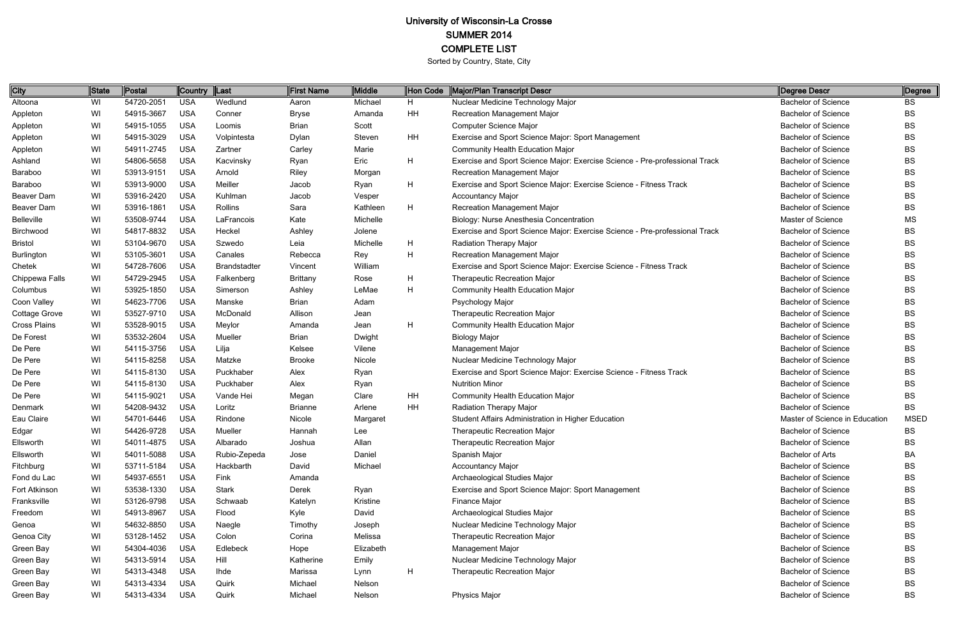| City                | State | Postal     | <b>Country</b> | Last                | <b>First Name</b> | Middle    | Hon Code | Major/Plan Transcript Descr                                                 | Degree Descr                   | Degree      |
|---------------------|-------|------------|----------------|---------------------|-------------------|-----------|----------|-----------------------------------------------------------------------------|--------------------------------|-------------|
| Altoona             | WI    | 54720-2051 | <b>USA</b>     | Wedlund             | Aaron             | Michael   | H.       | Nuclear Medicine Technology Major                                           | <b>Bachelor of Science</b>     | BS          |
| Appleton            | WI    | 54915-3667 | <b>USA</b>     | Conner              | <b>Bryse</b>      | Amanda    | HH       | <b>Recreation Management Major</b>                                          | <b>Bachelor of Science</b>     | BS          |
| Appleton            | WI    | 54915-1055 | <b>USA</b>     | Loomis              | <b>Brian</b>      | Scott     |          | <b>Computer Science Major</b>                                               | <b>Bachelor of Science</b>     | BS          |
| Appleton            | WI    | 54915-3029 | <b>USA</b>     | Volpintesta         | Dylan             | Steven    | HH       | Exercise and Sport Science Major: Sport Management                          | <b>Bachelor of Science</b>     | BS          |
| Appleton            | WI    | 54911-2745 | <b>USA</b>     | Zartner             | Carley            | Marie     |          | <b>Community Health Education Major</b>                                     | <b>Bachelor of Science</b>     | BS          |
| Ashland             | WI    | 54806-5658 | <b>USA</b>     | Kacvinsky           | Ryan              | Eric      | H        | Exercise and Sport Science Major: Exercise Science - Pre-professional Track | <b>Bachelor of Science</b>     | BS          |
| Baraboo             | WI    | 53913-9151 | <b>USA</b>     | Arnold              | Riley             | Morgan    |          | Recreation Management Major                                                 | <b>Bachelor of Science</b>     | BS          |
| Baraboo             | WI    | 53913-9000 | <b>USA</b>     | Meiller             | Jacob             | Ryan      | H        | Exercise and Sport Science Major: Exercise Science - Fitness Track          | <b>Bachelor of Science</b>     | BS          |
| Beaver Dam          | WI    | 53916-2420 | <b>USA</b>     | Kuhlman             | Jacob             | Vesper    |          | <b>Accountancy Major</b>                                                    | <b>Bachelor of Science</b>     | BS          |
| Beaver Dam          | WI    | 53916-1861 | <b>USA</b>     | Rollins             | Sara              | Kathleen  | H        | Recreation Management Major                                                 | <b>Bachelor of Science</b>     | BS          |
| Belleville          | WI    | 53508-9744 | <b>USA</b>     | LaFrancois          | Kate              | Michelle  |          | Biology: Nurse Anesthesia Concentration                                     | Master of Science              | MS          |
| Birchwood           | WI    | 54817-8832 | <b>USA</b>     | Heckel              | Ashley            | Jolene    |          | Exercise and Sport Science Major: Exercise Science - Pre-professional Track | <b>Bachelor of Science</b>     | BS          |
| <b>Bristol</b>      | WI    | 53104-9670 | <b>USA</b>     | Szwedo              | Leia              | Michelle  | H        | Radiation Therapy Major                                                     | <b>Bachelor of Science</b>     | BS          |
| <b>Burlington</b>   | WI    | 53105-3601 | <b>USA</b>     | Canales             | Rebecca           | Rey       | H        | Recreation Management Major                                                 | <b>Bachelor of Science</b>     | BS          |
| Chetek              | WI    | 54728-7606 | <b>USA</b>     | <b>Brandstadter</b> | Vincent           | William   |          | Exercise and Sport Science Major: Exercise Science - Fitness Track          | <b>Bachelor of Science</b>     | BS          |
| Chippewa Falls      | WI    | 54729-2945 | <b>USA</b>     | Falkenberg          | <b>Brittany</b>   | Rose      | H        | Therapeutic Recreation Major                                                | <b>Bachelor of Science</b>     | BS          |
| Columbus            | WI    | 53925-1850 | <b>USA</b>     | Simerson            | Ashley            | LeMae     | H        | <b>Community Health Education Major</b>                                     | <b>Bachelor of Science</b>     | BS          |
| Coon Valley         | WI    | 54623-7706 | <b>USA</b>     | Manske              | <b>Brian</b>      | Adam      |          | Psychology Major                                                            | <b>Bachelor of Science</b>     | BS          |
| Cottage Grove       | WI    | 53527-9710 | <b>USA</b>     | McDonald            | Allison           | Jean      |          | Therapeutic Recreation Major                                                | <b>Bachelor of Science</b>     | BS          |
| <b>Cross Plains</b> | WI    | 53528-9015 | <b>USA</b>     | Meylor              | Amanda            | Jean      | H        | Community Health Education Major                                            | <b>Bachelor of Science</b>     | BS          |
| De Forest           | WI    | 53532-2604 | <b>USA</b>     | Mueller             | <b>Brian</b>      | Dwight    |          | <b>Biology Major</b>                                                        | <b>Bachelor of Science</b>     | BS          |
| De Pere             | WI    | 54115-3756 | <b>USA</b>     | Lilja               | Kelsee            | Vilene    |          | <b>Management Major</b>                                                     | <b>Bachelor of Science</b>     | BS          |
| De Pere             | WI    | 54115-8258 | <b>USA</b>     | Matzke              | <b>Brooke</b>     | Nicole    |          | Nuclear Medicine Technology Major                                           | <b>Bachelor of Science</b>     | BS          |
| De Pere             | WI    | 54115-8130 | <b>USA</b>     | Puckhaber           | Alex              | Ryan      |          | Exercise and Sport Science Major: Exercise Science - Fitness Track          | <b>Bachelor of Science</b>     | BS          |
| De Pere             | WI    | 54115-8130 | <b>USA</b>     | Puckhaber           | Alex              | Ryan      |          | <b>Nutrition Minor</b>                                                      | <b>Bachelor of Science</b>     | BS          |
| De Pere             | WI    | 54115-9021 | <b>USA</b>     | Vande Hei           | Megan             | Clare     | HH       | <b>Community Health Education Major</b>                                     | <b>Bachelor of Science</b>     | BS          |
| Denmark             | WI    | 54208-9432 | <b>USA</b>     | Loritz              | <b>Brianne</b>    | Arlene    | HH       | Radiation Therapy Major                                                     | <b>Bachelor of Science</b>     | BS          |
| Eau Claire          | WI    | 54701-6446 | <b>USA</b>     | Rindone             | Nicole            | Margaret  |          | Student Affairs Administration in Higher Education                          | Master of Science in Education | <b>MSED</b> |
| Edgar               | WI    | 54426-9728 | <b>USA</b>     | Mueller             | Hannah            | Lee       |          | Therapeutic Recreation Major                                                | <b>Bachelor of Science</b>     | BS          |
| Ellsworth           | WI    | 54011-4875 | <b>USA</b>     | Albarado            | Joshua            | Allan     |          | <b>Therapeutic Recreation Major</b>                                         | <b>Bachelor of Science</b>     | BS          |
| Ellsworth           | WI    | 54011-5088 | <b>USA</b>     | Rubio-Zepeda        | Jose              | Daniel    |          | Spanish Major                                                               | <b>Bachelor of Arts</b>        | BA          |
| Fitchburg           | WI    | 53711-5184 | <b>USA</b>     | Hackbarth           | David             | Michael   |          | <b>Accountancy Major</b>                                                    | <b>Bachelor of Science</b>     | BS          |
| Fond du Lac         | WI    | 54937-6551 | <b>USA</b>     | Fink                | Amanda            |           |          | Archaeological Studies Major                                                | <b>Bachelor of Science</b>     | BS          |
| Fort Atkinson       | WI    | 53538-1330 | <b>USA</b>     | <b>Stark</b>        | Derek             | Ryan      |          | Exercise and Sport Science Major: Sport Management                          | <b>Bachelor of Science</b>     | BS          |
| Franksville         | WI    | 53126-9798 | <b>USA</b>     | Schwaab             | Katelyn           | Kristine  |          | Finance Major                                                               | <b>Bachelor of Science</b>     | BS          |
| Freedom             | WI    | 54913-8967 | <b>USA</b>     | Flood               | Kyle              | David     |          | Archaeological Studies Major                                                | <b>Bachelor of Science</b>     | BS          |
| Genoa               | WI    | 54632-8850 | <b>USA</b>     | Naegle              | Timothy           | Joseph    |          | Nuclear Medicine Technology Major                                           | <b>Bachelor of Science</b>     | BS          |
| Genoa City          | WI    | 53128-1452 | <b>USA</b>     | Colon               | Corina            | Melissa   |          | Therapeutic Recreation Major                                                | <b>Bachelor of Science</b>     | BS          |
| Green Bay           | WI    | 54304-4036 | <b>USA</b>     | Edlebeck            | Hope              | Elizabeth |          | Management Major                                                            | <b>Bachelor of Science</b>     | BS          |
| Green Bay           | WI    | 54313-5914 | <b>USA</b>     | Hill                | Katherine         | Emily     |          | Nuclear Medicine Technology Major                                           | <b>Bachelor of Science</b>     | BS          |
| Green Bay           | WI    | 54313-4348 | <b>USA</b>     | <b>Ihde</b>         | Marissa           | Lynn      | H        | <b>Therapeutic Recreation Major</b>                                         | <b>Bachelor of Science</b>     | BS          |
| Green Bay           | WI    | 54313-4334 | <b>USA</b>     | Quirk               | Michael           | Nelson    |          |                                                                             | <b>Bachelor of Science</b>     | BS          |
| Green Bay           | WI    | 54313-4334 | <b>USA</b>     | Quirk               | Michael           | Nelson    |          | Physics Major                                                               | <b>Bachelor of Science</b>     | BS          |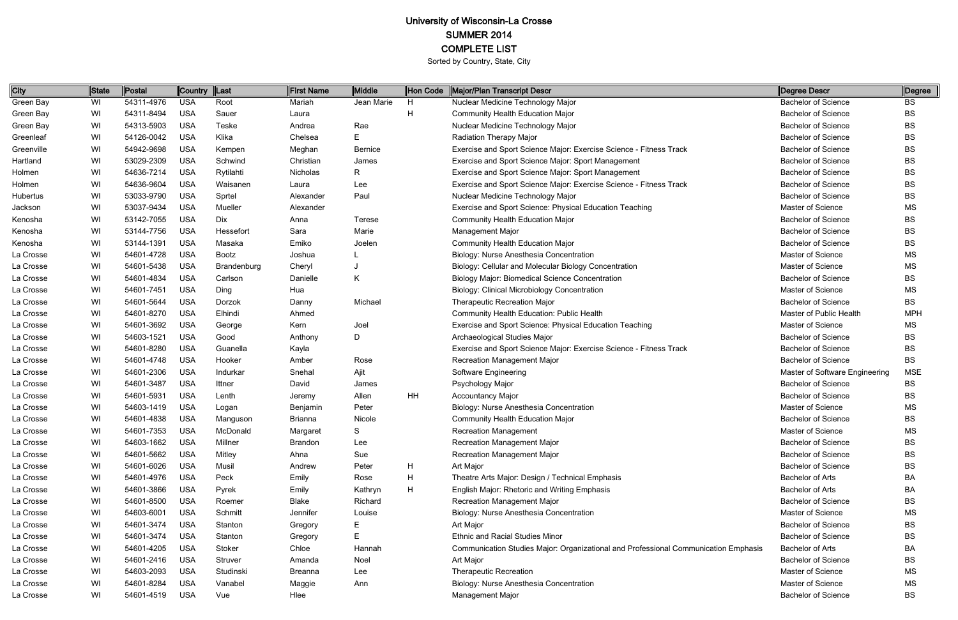| City       | <b>State</b> | Postal     | Country    | Last         | <b>First Name</b> | Middle         | Hon Code | Major/Plan Transcript Descr                                                         | Degree Descr                   | Degree     |
|------------|--------------|------------|------------|--------------|-------------------|----------------|----------|-------------------------------------------------------------------------------------|--------------------------------|------------|
| Green Bay  | WI           | 54311-4976 | <b>USA</b> | Root         | Mariah            | Jean Marie     | H        | Nuclear Medicine Technology Major                                                   | <b>Bachelor of Science</b>     | BS         |
| Green Bay  | WI           | 54311-8494 | <b>USA</b> | Sauer        | Laura             |                | H        | <b>Community Health Education Major</b>                                             | <b>Bachelor of Science</b>     | <b>BS</b>  |
| Green Bay  | WI           | 54313-5903 | <b>USA</b> | <b>Teske</b> | Andrea            | Rae            |          | Nuclear Medicine Technology Major                                                   | <b>Bachelor of Science</b>     | <b>BS</b>  |
| Greenleaf  | WI           | 54126-0042 | <b>USA</b> | Klika        | Chelsea           | E.             |          | <b>Radiation Therapy Major</b>                                                      | <b>Bachelor of Science</b>     | <b>BS</b>  |
| Greenville | WI           | 54942-9698 | <b>USA</b> | Kempen       | Meghan            | <b>Bernice</b> |          | Exercise and Sport Science Major: Exercise Science - Fitness Track                  | <b>Bachelor of Science</b>     | <b>BS</b>  |
| Hartland   | WI           | 53029-2309 | <b>USA</b> | Schwind      | Christian         | James          |          | Exercise and Sport Science Major: Sport Management                                  | <b>Bachelor of Science</b>     | <b>BS</b>  |
| Holmen     | WI           | 54636-7214 | <b>USA</b> | Rytilahti    | Nicholas          | R.             |          | Exercise and Sport Science Major: Sport Management                                  | <b>Bachelor of Science</b>     | <b>BS</b>  |
| Holmen     | WI           | 54636-9604 | <b>USA</b> | Waisanen     | Laura             | Lee            |          | Exercise and Sport Science Major: Exercise Science - Fitness Track                  | <b>Bachelor of Science</b>     | <b>BS</b>  |
| Hubertus   | WI           | 53033-9790 | <b>USA</b> | Sprtel       | Alexander         | Paul           |          | Nuclear Medicine Technology Major                                                   | <b>Bachelor of Science</b>     | <b>BS</b>  |
| Jackson    | WI           | 53037-9434 | <b>USA</b> | Mueller      | Alexander         |                |          | Exercise and Sport Science: Physical Education Teaching                             | Master of Science              | <b>MS</b>  |
| Kenosha    | WI           | 53142-7055 | <b>USA</b> | Dix          | Anna              | <b>Terese</b>  |          | <b>Community Health Education Major</b>                                             | <b>Bachelor of Science</b>     | <b>BS</b>  |
| Kenosha    | WI           | 53144-7756 | <b>USA</b> | Hessefort    | Sara              | Marie          |          | Management Major                                                                    | <b>Bachelor of Science</b>     | <b>BS</b>  |
| Kenosha    | WI           | 53144-1391 | <b>USA</b> | Masaka       | Emiko             | Joelen         |          | <b>Community Health Education Major</b>                                             | <b>Bachelor of Science</b>     | <b>BS</b>  |
| La Crosse  | WI           | 54601-4728 | <b>USA</b> | Bootz        | Joshua            |                |          | <b>Biology: Nurse Anesthesia Concentration</b>                                      | <b>Master of Science</b>       | MS         |
| La Crosse  | WI           | 54601-5438 | <b>USA</b> | Brandenburg  | Cheryl            |                |          | Biology: Cellular and Molecular Biology Concentration                               | Master of Science              | MS         |
| La Crosse  | WI           | 54601-4834 | <b>USA</b> | Carlson      | Danielle          | K              |          | <b>Biology Major: Biomedical Science Concentration</b>                              | <b>Bachelor of Science</b>     | <b>BS</b>  |
| La Crosse  | WI           | 54601-7451 | <b>USA</b> | Ding         | Hua               |                |          | <b>Biology: Clinical Microbiology Concentration</b>                                 | Master of Science              | <b>MS</b>  |
| La Crosse  | WI           | 54601-5644 | <b>USA</b> | Dorzok       | Danny             | Michael        |          | <b>Therapeutic Recreation Major</b>                                                 | <b>Bachelor of Science</b>     | <b>BS</b>  |
| La Crosse  | WI           | 54601-8270 | <b>USA</b> | Elhindi      | Ahmed             |                |          | Community Health Education: Public Health                                           | Master of Public Health        | <b>MPH</b> |
| La Crosse  | WI           | 54601-3692 | <b>USA</b> | George       | Kern              | Joel           |          | Exercise and Sport Science: Physical Education Teaching                             | Master of Science              | MS         |
| La Crosse  | WI           | 54603-1521 | <b>USA</b> | Good         | Anthony           | D              |          | Archaeological Studies Major                                                        | <b>Bachelor of Science</b>     | <b>BS</b>  |
| La Crosse  | WI           | 54601-8280 | <b>USA</b> | Guanella     | Kayla             |                |          | Exercise and Sport Science Major: Exercise Science - Fitness Track                  | <b>Bachelor of Science</b>     | <b>BS</b>  |
| La Crosse  | WI           | 54601-4748 | <b>USA</b> | Hooker       | Amber             | Rose           |          | <b>Recreation Management Major</b>                                                  | <b>Bachelor of Science</b>     | <b>BS</b>  |
| La Crosse  | WI           | 54601-2306 | <b>USA</b> | Indurkar     | Snehal            | Ajit           |          | Software Engineering                                                                | Master of Software Engineering | <b>MSE</b> |
| La Crosse  | WI           | 54601-3487 | <b>USA</b> | Ittner       | David             | James          |          | Psychology Major                                                                    | <b>Bachelor of Science</b>     | BS         |
| La Crosse  | WI           | 54601-5931 | <b>USA</b> | Lenth        | Jeremy            | Allen          | HH       | <b>Accountancy Major</b>                                                            | <b>Bachelor of Science</b>     | <b>BS</b>  |
| La Crosse  | WI           | 54603-1419 | <b>USA</b> | Logan        | Benjamin          | Peter          |          | Biology: Nurse Anesthesia Concentration                                             | Master of Science              | MS         |
| La Crosse  | WI           | 54601-4838 | <b>USA</b> | Manguson     | Brianna           | Nicole         |          | <b>Community Health Education Major</b>                                             | <b>Bachelor of Science</b>     | BS         |
| La Crosse  | WI           | 54601-7353 | <b>USA</b> | McDonald     | Margaret          | S              |          | <b>Recreation Management</b>                                                        | Master of Science              | <b>MS</b>  |
| La Crosse  | WI           | 54603-1662 | <b>USA</b> | Millner      | <b>Brandon</b>    | Lee            |          | <b>Recreation Management Major</b>                                                  | <b>Bachelor of Science</b>     | <b>BS</b>  |
| La Crosse  | WI           | 54601-5662 | <b>USA</b> | Mitley       | Ahna              | Sue            |          | <b>Recreation Management Major</b>                                                  | <b>Bachelor of Science</b>     | <b>BS</b>  |
| La Crosse  | WI           | 54601-6026 | <b>USA</b> | Musil        | Andrew            | Peter          | H        | Art Major                                                                           | <b>Bachelor of Science</b>     | <b>BS</b>  |
| La Crosse  | WI           | 54601-4976 | <b>USA</b> | Peck         | Emily             | Rose           | H        | Theatre Arts Major: Design / Technical Emphasis                                     | <b>Bachelor of Arts</b>        | BA         |
| La Crosse  | WI           | 54601-3866 | <b>USA</b> | Pyrek        | Emily             | Kathryn        | H        | English Major: Rhetoric and Writing Emphasis                                        | <b>Bachelor of Arts</b>        | BA         |
| La Crosse  | WI           | 54601-8500 | <b>USA</b> | Roemer       | Blake             | Richard        |          | Recreation Management Major                                                         | <b>Bachelor of Science</b>     | <b>BS</b>  |
| La Crosse  | WI           | 54603-6001 | <b>USA</b> | Schmitt      | Jennifer          | Louise         |          | Biology: Nurse Anesthesia Concentration                                             | <b>Master of Science</b>       | MS         |
| La Crosse  | WI           | 54601-3474 | <b>USA</b> | Stanton      | Gregory           |                |          | Art Major                                                                           | <b>Bachelor of Science</b>     | <b>BS</b>  |
| La Crosse  | WI           | 54601-3474 | <b>USA</b> | Stanton      | Gregory           | E              |          | <b>Ethnic and Racial Studies Minor</b>                                              | <b>Bachelor of Science</b>     | <b>BS</b>  |
| La Crosse  | WI           | 54601-4205 | <b>USA</b> | Stoker       | Chloe             | Hannah         |          | Communication Studies Major: Organizational and Professional Communication Emphasis | <b>Bachelor of Arts</b>        | BA         |
| La Crosse  | WI           | 54601-2416 | <b>USA</b> | Struver      | Amanda            | Noel           |          | Art Major                                                                           | <b>Bachelor of Science</b>     | <b>BS</b>  |
| La Crosse  | WI           | 54603-2093 | <b>USA</b> | Studinski    | <b>Breanna</b>    | Lee            |          | <b>Therapeutic Recreation</b>                                                       | Master of Science              | MS         |
| La Crosse  | WI           | 54601-8284 | <b>USA</b> | Vanabel      | Maggie            | Ann            |          | Biology: Nurse Anesthesia Concentration                                             | Master of Science              | MS         |
| La Crosse  | WI           | 54601-4519 | <b>USA</b> | Vue          | Hlee              |                |          | Management Major                                                                    | <b>Bachelor of Science</b>     | <b>BS</b>  |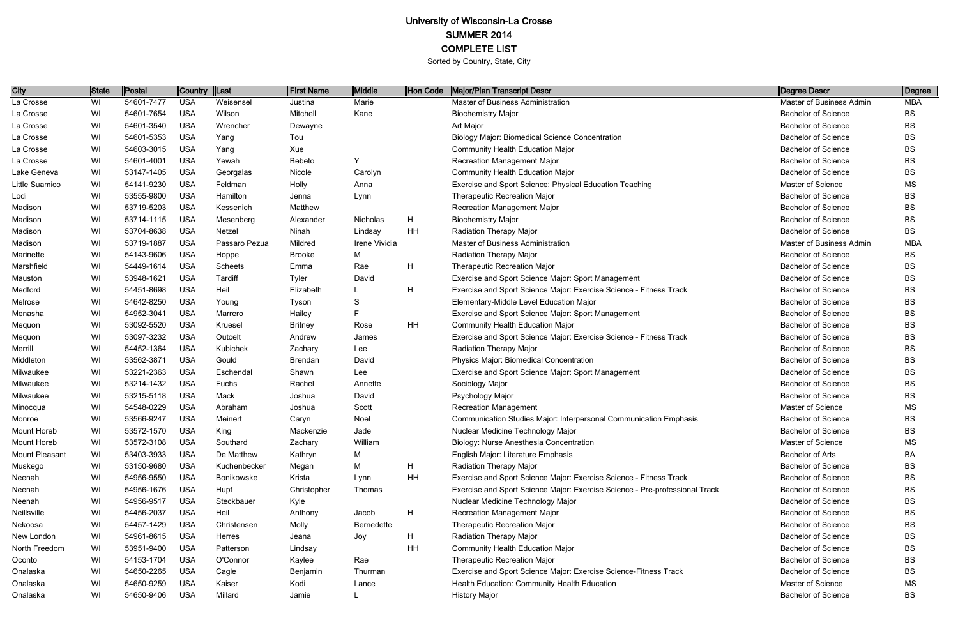| <b>City</b>           | State | ∥Postal    | Country  Last |               | <b>First Name</b> | Middle        | Hon Code | Major/Plan Transcript Descr                                                 | Degree Descr               | Degree     |
|-----------------------|-------|------------|---------------|---------------|-------------------|---------------|----------|-----------------------------------------------------------------------------|----------------------------|------------|
| La Crosse             | WI    | 54601-7477 | <b>USA</b>    | Weisensel     | Justina           | Marie         |          | Master of Business Administration                                           | Master of Business Admin   | <b>MBA</b> |
| La Crosse             | WI    | 54601-7654 | <b>USA</b>    | Wilson        | Mitchell          | Kane          |          | <b>Biochemistry Major</b>                                                   | <b>Bachelor of Science</b> | BS         |
| La Crosse             | WI    | 54601-3540 | <b>USA</b>    | Wrencher      | Dewayne           |               |          | Art Major                                                                   | <b>Bachelor of Science</b> | BS         |
| La Crosse             | WI    | 54601-5353 | <b>USA</b>    | Yang          | Tou               |               |          | <b>Biology Major: Biomedical Science Concentration</b>                      | <b>Bachelor of Science</b> | <b>BS</b>  |
| La Crosse             | WI    | 54603-3015 | <b>USA</b>    | Yang          | Xue               |               |          | Community Health Education Major                                            | <b>Bachelor of Science</b> | BS         |
| La Crosse             | WI    | 54601-4001 | <b>USA</b>    | Yewah         | Bebeto            | Y             |          | <b>Recreation Management Major</b>                                          | <b>Bachelor of Science</b> | <b>BS</b>  |
| Lake Geneva           | WI    | 53147-1405 | <b>USA</b>    | Georgalas     | Nicole            | Carolyn       |          | Community Health Education Major                                            | <b>Bachelor of Science</b> | BS         |
| Little Suamico        | WI    | 54141-9230 | <b>USA</b>    | Feldman       | Holly             | Anna          |          | Exercise and Sport Science: Physical Education Teaching                     | Master of Science          | <b>MS</b>  |
| Lodi                  | WI    | 53555-9800 | <b>USA</b>    | Hamilton      | Jenna             | Lynn          |          | <b>Therapeutic Recreation Major</b>                                         | <b>Bachelor of Science</b> | <b>BS</b>  |
| Madison               | WI    | 53719-5203 | <b>USA</b>    | Kessenich     | Matthew           |               |          | <b>Recreation Management Major</b>                                          | <b>Bachelor of Science</b> | BS         |
| Madison               | WI    | 53714-1115 | <b>USA</b>    | Mesenberg     | Alexander         | Nicholas      | H        | <b>Biochemistry Major</b>                                                   | <b>Bachelor of Science</b> | BS         |
| Madison               | WI    | 53704-8638 | <b>USA</b>    | Netzel        | Ninah             | Lindsay       | HH       | Radiation Therapy Major                                                     | <b>Bachelor of Science</b> | <b>BS</b>  |
| Madison               | WI    | 53719-1887 | <b>USA</b>    | Passaro Pezua | Mildred           | Irene Vividia |          | Master of Business Administration                                           | Master of Business Admin   | <b>MBA</b> |
| Marinette             | WI    | 54143-9606 | <b>USA</b>    | Hoppe         | <b>Brooke</b>     | М             |          | <b>Radiation Therapy Major</b>                                              | <b>Bachelor of Science</b> | BS         |
| Marshfield            | WI    | 54449-1614 | <b>USA</b>    | Scheets       | Emma              | Rae           | H        | <b>Therapeutic Recreation Major</b>                                         | <b>Bachelor of Science</b> | BS         |
| Mauston               | WI    | 53948-1621 | <b>USA</b>    | Tardiff       | <b>Tyler</b>      | David         |          | Exercise and Sport Science Major: Sport Management                          | <b>Bachelor of Science</b> | BS         |
| Medford               | WI    | 54451-8698 | <b>USA</b>    | Heil          | Elizabeth         |               | H        | Exercise and Sport Science Major: Exercise Science - Fitness Track          | <b>Bachelor of Science</b> | BS         |
| Melrose               | WI    | 54642-8250 | <b>USA</b>    | Young         | Tyson             | S             |          | Elementary-Middle Level Education Major                                     | <b>Bachelor of Science</b> | <b>BS</b>  |
| Menasha               | WI    | 54952-3041 | <b>USA</b>    | Marrero       | Hailey            |               |          | Exercise and Sport Science Major: Sport Management                          | <b>Bachelor of Science</b> | BS         |
| Mequon                | WI    | 53092-5520 | <b>USA</b>    | Kruesel       | <b>Britney</b>    | Rose          | HH       | Community Health Education Major                                            | <b>Bachelor of Science</b> | <b>BS</b>  |
| Mequon                | WI    | 53097-3232 | <b>USA</b>    | Outcelt       | Andrew            | James         |          | Exercise and Sport Science Major: Exercise Science - Fitness Track          | <b>Bachelor of Science</b> | <b>BS</b>  |
| Merrill               | WI    | 54452-1364 | <b>USA</b>    | Kubichek      | Zachary           | Lee           |          | Radiation Therapy Major                                                     | <b>Bachelor of Science</b> | <b>BS</b>  |
| Middleton             | WI    | 53562-3871 | <b>USA</b>    | Gould         | <b>Brendan</b>    | David         |          | Physics Major: Biomedical Concentration                                     | <b>Bachelor of Science</b> | BS         |
| Milwaukee             | WI    | 53221-2363 | <b>USA</b>    | Eschendal     | Shawn             | Lee           |          | Exercise and Sport Science Major: Sport Management                          | <b>Bachelor of Science</b> | BS         |
| Milwaukee             | WI    | 53214-1432 | <b>USA</b>    | Fuchs         | Rachel            | Annette       |          | Sociology Major                                                             | <b>Bachelor of Science</b> | BS         |
| Milwaukee             | WI    | 53215-5118 | <b>USA</b>    | Mack          | Joshua            | David         |          | Psychology Major                                                            | <b>Bachelor of Science</b> | BS         |
| Minocqua              | WI    | 54548-0229 | <b>USA</b>    | Abraham       | Joshua            | Scott         |          | <b>Recreation Management</b>                                                | Master of Science          | MS         |
| Monroe                | WI    | 53566-9247 | <b>USA</b>    | Meinert       | Caryn             | Noel          |          | Communication Studies Major: Interpersonal Communication Emphasis           | <b>Bachelor of Science</b> | <b>BS</b>  |
| Mount Horeb           | WI    | 53572-1570 | <b>USA</b>    | King          | Mackenzie         | Jade          |          | Nuclear Medicine Technology Major                                           | <b>Bachelor of Science</b> | <b>BS</b>  |
| Mount Horeb           | WI    | 53572-3108 | <b>USA</b>    | Southard      | Zachary           | William       |          | Biology: Nurse Anesthesia Concentration                                     | Master of Science          | <b>MS</b>  |
| <b>Mount Pleasant</b> | WI    | 53403-3933 | <b>USA</b>    | De Matthew    | Kathryn           | M             |          | English Major: Literature Emphasis                                          | <b>Bachelor of Arts</b>    | BA         |
| Muskego               | WI    | 53150-9680 | <b>USA</b>    | Kuchenbecker  | Megan             | M             | H        | Radiation Therapy Major                                                     | <b>Bachelor of Science</b> | <b>BS</b>  |
| Neenah                | WI    | 54956-9550 | <b>USA</b>    | Bonikowske    | Krista            | Lynn          | HH       | Exercise and Sport Science Major: Exercise Science - Fitness Track          | <b>Bachelor of Science</b> | <b>BS</b>  |
| Neenah                | WI    | 54956-1676 | <b>USA</b>    | Hupf          | Christopher       | Thomas        |          | Exercise and Sport Science Major: Exercise Science - Pre-professional Track | <b>Bachelor of Science</b> | BS         |
| Neenah                | WI    | 54956-9517 | <b>USA</b>    | Steckbauer    | Kyle              |               |          | Nuclear Medicine Technology Major                                           | <b>Bachelor of Science</b> | <b>BS</b>  |
| Neillsville           | WI    | 54456-2037 | <b>USA</b>    | Heil          | Anthony           | Jacob         | H        | Recreation Management Major                                                 | <b>Bachelor of Science</b> | BS         |
| Nekoosa               | WI    | 54457-1429 | <b>USA</b>    | Christensen   | Molly             | Bernedette    |          | <b>Therapeutic Recreation Major</b>                                         | <b>Bachelor of Science</b> | <b>BS</b>  |
| New London            | WI    | 54961-8615 | <b>USA</b>    | Herres        | Jeana             | Joy           | H        | Radiation Therapy Major                                                     | <b>Bachelor of Science</b> | BS         |
| North Freedom         | WI    | 53951-9400 | <b>USA</b>    | Patterson     | Lindsay           |               | HH       | Community Health Education Major                                            | <b>Bachelor of Science</b> | <b>BS</b>  |
| Oconto                | WI    | 54153-1704 | <b>USA</b>    | O'Connor      | Kaylee            | Rae           |          | <b>Therapeutic Recreation Major</b>                                         | <b>Bachelor of Science</b> | <b>BS</b>  |
| Onalaska              | WI    | 54650-2265 | <b>USA</b>    | Cagle         | Benjamin          | Thurman       |          | Exercise and Sport Science Major: Exercise Science-Fitness Track            | <b>Bachelor of Science</b> | <b>BS</b>  |
| Onalaska              | WI    | 54650-9259 | <b>USA</b>    | Kaiser        | Kodi              | Lance         |          | Health Education: Community Health Education                                | Master of Science          | MS         |
| Onalaska              | WI    | 54650-9406 | <b>USA</b>    | Millard       | Jamie             |               |          | <b>History Major</b>                                                        | <b>Bachelor of Science</b> | <b>BS</b>  |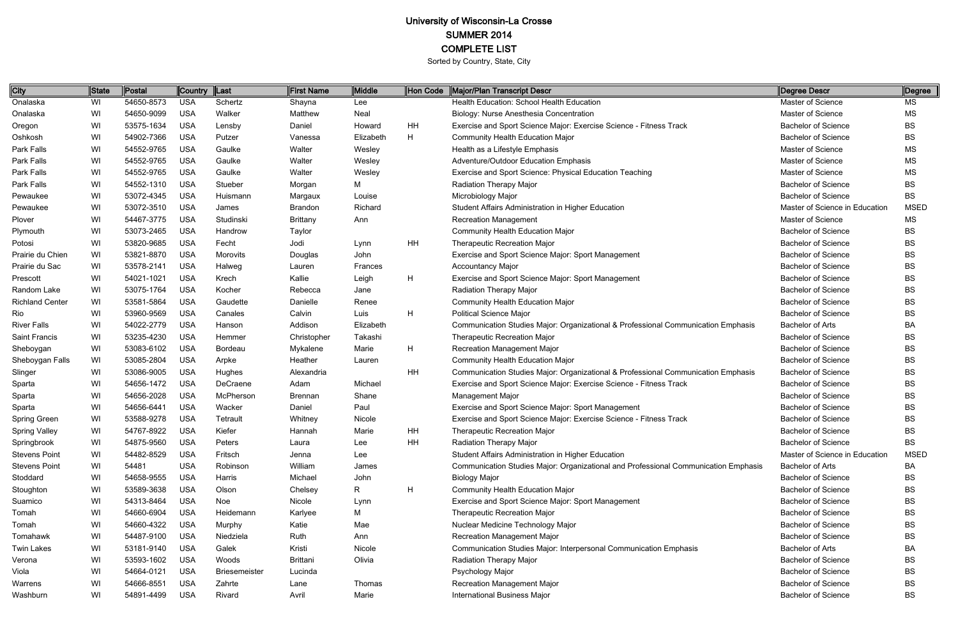| City                   | <b>State</b> | Postal     | <b>Country</b> | Last                 | <b>First Name</b> | <b>Middle</b> | Hon Code | Major/Plan Transcript Descr                                                         | Degree Descr                   | Degree      |
|------------------------|--------------|------------|----------------|----------------------|-------------------|---------------|----------|-------------------------------------------------------------------------------------|--------------------------------|-------------|
| Onalaska               | WI           | 54650-8573 | <b>USA</b>     | Schertz              | Shayna            | Lee           |          | Health Education: School Health Education                                           | Master of Science              | <b>MS</b>   |
| Onalaska               | WI           | 54650-9099 | <b>USA</b>     | Walker               | Matthew           | Neal          |          | Biology: Nurse Anesthesia Concentration                                             | Master of Science              | MS          |
| Oregon                 | WI           | 53575-1634 | <b>USA</b>     | Lensby               | Daniel            | Howard        | HH       | Exercise and Sport Science Major: Exercise Science - Fitness Track                  | <b>Bachelor of Science</b>     | <b>BS</b>   |
| Oshkosh                | WI           | 54902-7366 | <b>USA</b>     | Putzer               | Vanessa           | Elizabeth     | H        | Community Health Education Major                                                    | <b>Bachelor of Science</b>     | <b>BS</b>   |
| Park Falls             | WI           | 54552-9765 | <b>USA</b>     | Gaulke               | Walter            | Wesley        |          | Health as a Lifestyle Emphasis                                                      | <b>Master of Science</b>       | MS          |
| Park Falls             | WI           | 54552-9765 | <b>USA</b>     | Gaulke               | Walter            | Wesley        |          | Adventure/Outdoor Education Emphasis                                                | Master of Science              | MS          |
| Park Falls             | WI           | 54552-9765 | <b>USA</b>     | Gaulke               | Walter            | Wesley        |          | Exercise and Sport Science: Physical Education Teaching                             | Master of Science              | MS          |
| Park Falls             | WI           | 54552-1310 | <b>USA</b>     | Stueber              | Morgan            | M             |          | Radiation Therapy Major                                                             | <b>Bachelor of Science</b>     | <b>BS</b>   |
| Pewaukee               | WI           | 53072-4345 | <b>USA</b>     | Huismann             | Margaux           | Louise        |          | Microbiology Major                                                                  | <b>Bachelor of Science</b>     | <b>BS</b>   |
| Pewaukee               | WI           | 53072-3510 | <b>USA</b>     | James                | <b>Brandon</b>    | Richard       |          | Student Affairs Administration in Higher Education                                  | Master of Science in Education | <b>MSED</b> |
| Plover                 | WI           | 54467-3775 | <b>USA</b>     | Studinski            | <b>Brittany</b>   | Ann           |          | <b>Recreation Management</b>                                                        | Master of Science              | <b>MS</b>   |
| Plymouth               | WI           | 53073-2465 | <b>USA</b>     | Handrow              | Taylor            |               |          | Community Health Education Major                                                    | <b>Bachelor of Science</b>     | <b>BS</b>   |
| Potosi                 | WI           | 53820-9685 | <b>USA</b>     | Fecht                | Jodi              | Lynn          | HH       | Therapeutic Recreation Major                                                        | <b>Bachelor of Science</b>     | <b>BS</b>   |
| Prairie du Chien       | WI           | 53821-8870 | <b>USA</b>     | Morovits             | Douglas           | John          |          | Exercise and Sport Science Major: Sport Management                                  | <b>Bachelor of Science</b>     | <b>BS</b>   |
| Prairie du Sac         | WI           | 53578-2141 | <b>USA</b>     | Halweg               | Lauren            | Frances       |          | <b>Accountancy Major</b>                                                            | <b>Bachelor of Science</b>     | <b>BS</b>   |
| Prescott               | WI           | 54021-1021 | <b>USA</b>     | Krech                | Kallie            | Leigh         | H        | Exercise and Sport Science Major: Sport Management                                  | <b>Bachelor of Science</b>     | <b>BS</b>   |
| Random Lake            | WI           | 53075-1764 | <b>USA</b>     | Kocher               | Rebecca           | Jane          |          | Radiation Therapy Major                                                             | <b>Bachelor of Science</b>     | <b>BS</b>   |
| <b>Richland Center</b> | WI           | 53581-5864 | <b>USA</b>     | Gaudette             | Danielle          | Renee         |          | <b>Community Health Education Major</b>                                             | <b>Bachelor of Science</b>     | <b>BS</b>   |
| Rio                    | WI           | 53960-9569 | <b>USA</b>     | Canales              | Calvin            | Luis          | H        | <b>Political Science Major</b>                                                      | <b>Bachelor of Science</b>     | <b>BS</b>   |
| <b>River Falls</b>     | WI           | 54022-2779 | <b>USA</b>     | Hanson               | Addison           | Elizabeth     |          | Communication Studies Major: Organizational & Professional Communication Emphasis   | <b>Bachelor of Arts</b>        | BA          |
| Saint Francis          | WI           | 53235-4230 | <b>USA</b>     | Hemmer               | Christopher       | Takashi       |          | Therapeutic Recreation Major                                                        | <b>Bachelor of Science</b>     | BS          |
| Sheboygan              | WI           | 53083-6102 | <b>USA</b>     | Bordeau              | Mykalene          | Marie         | H        | Recreation Management Major                                                         | <b>Bachelor of Science</b>     | <b>BS</b>   |
| Sheboygan Falls        | WI           | 53085-2804 | <b>USA</b>     | Arpke                | Heather           | Lauren        |          | <b>Community Health Education Major</b>                                             | <b>Bachelor of Science</b>     | BS          |
| Slinger                | WI           | 53086-9005 | <b>USA</b>     | Hughes               | Alexandria        |               | HH       | Communication Studies Major: Organizational & Professional Communication Emphasis   | <b>Bachelor of Science</b>     | <b>BS</b>   |
| Sparta                 | WI           | 54656-1472 | <b>USA</b>     | DeCraene             | Adam              | Michael       |          | Exercise and Sport Science Major: Exercise Science - Fitness Track                  | <b>Bachelor of Science</b>     | BS          |
| Sparta                 | WI           | 54656-2028 | <b>USA</b>     | McPherson            | <b>Brennan</b>    | Shane         |          | Management Major                                                                    | <b>Bachelor of Science</b>     | <b>BS</b>   |
| Sparta                 | WI           | 54656-6441 | <b>USA</b>     | Wacker               | Daniel            | Paul          |          | Exercise and Sport Science Major: Sport Management                                  | <b>Bachelor of Science</b>     | BS          |
| <b>Spring Green</b>    | WI           | 53588-9278 | <b>USA</b>     | Tetrault             | Whitney           | Nicole        |          | Exercise and Sport Science Major: Exercise Science - Fitness Track                  | <b>Bachelor of Science</b>     | <b>BS</b>   |
| <b>Spring Valley</b>   | WI           | 54767-8922 | <b>USA</b>     | Kiefer               | Hannah            | Marie         | HH       | Therapeutic Recreation Major                                                        | <b>Bachelor of Science</b>     | <b>BS</b>   |
| Springbrook            | WI           | 54875-9560 | <b>USA</b>     | Peters               | Laura             | Lee           | HH       | Radiation Therapy Major                                                             | <b>Bachelor of Science</b>     | BS          |
| <b>Stevens Point</b>   | WI           | 54482-8529 | <b>USA</b>     | Fritsch              | Jenna             | Lee           |          | Student Affairs Administration in Higher Education                                  | Master of Science in Education | <b>MSED</b> |
| <b>Stevens Point</b>   | WI           | 54481      | <b>USA</b>     | Robinson             | William           | James         |          | Communication Studies Major: Organizational and Professional Communication Emphasis | <b>Bachelor of Arts</b>        | BA          |
| Stoddard               | WI           | 54658-9555 | <b>USA</b>     | Harris               | Michael           | John          |          | <b>Biology Major</b>                                                                | <b>Bachelor of Science</b>     | BS          |
| Stoughton              | WI           | 53589-3638 | <b>USA</b>     | Olson                | Chelsey           | $\mathsf{R}$  | H        | <b>Community Health Education Major</b>                                             | <b>Bachelor of Science</b>     | <b>BS</b>   |
| Suamico                | WI           | 54313-8464 | <b>USA</b>     | Noe                  | Nicole            | Lynn          |          | Exercise and Sport Science Major: Sport Management                                  | <b>Bachelor of Science</b>     | <b>BS</b>   |
| Tomah                  | WI           | 54660-6904 | <b>USA</b>     | Heidemann            | Karlyee           | M             |          | Therapeutic Recreation Major                                                        | <b>Bachelor of Science</b>     | <b>BS</b>   |
| Tomah                  | WI           | 54660-4322 | <b>USA</b>     | Murphy               | Katie             | Mae           |          | Nuclear Medicine Technology Major                                                   | <b>Bachelor of Science</b>     | BS          |
| Tomahawk               | WI           | 54487-9100 | <b>USA</b>     | Niedziela            | Ruth              | Ann           |          | Recreation Management Major                                                         | <b>Bachelor of Science</b>     | <b>BS</b>   |
| <b>Twin Lakes</b>      | WI           | 53181-9140 | <b>USA</b>     | Galek                | Kristi            | Nicole        |          | Communication Studies Major: Interpersonal Communication Emphasis                   | <b>Bachelor of Arts</b>        | BA          |
| Verona                 | WI           | 53593-1602 | <b>USA</b>     | Woods                | <b>Brittani</b>   | Olivia        |          | Radiation Therapy Major                                                             | <b>Bachelor of Science</b>     | <b>BS</b>   |
| Viola                  | WI           | 54664-0121 | <b>USA</b>     | <b>Briesemeister</b> | Lucinda           |               |          | Psychology Major                                                                    | <b>Bachelor of Science</b>     | BS          |
| Warrens                | WI           | 54666-8551 | <b>USA</b>     | Zahrte               | Lane              | Thomas        |          | Recreation Management Major                                                         | <b>Bachelor of Science</b>     | <b>BS</b>   |
| Washburn               | WI           | 54891-4499 | <b>USA</b>     | Rivard               | Avril             | Marie         |          | <b>International Business Major</b>                                                 | <b>Bachelor of Science</b>     | BS          |